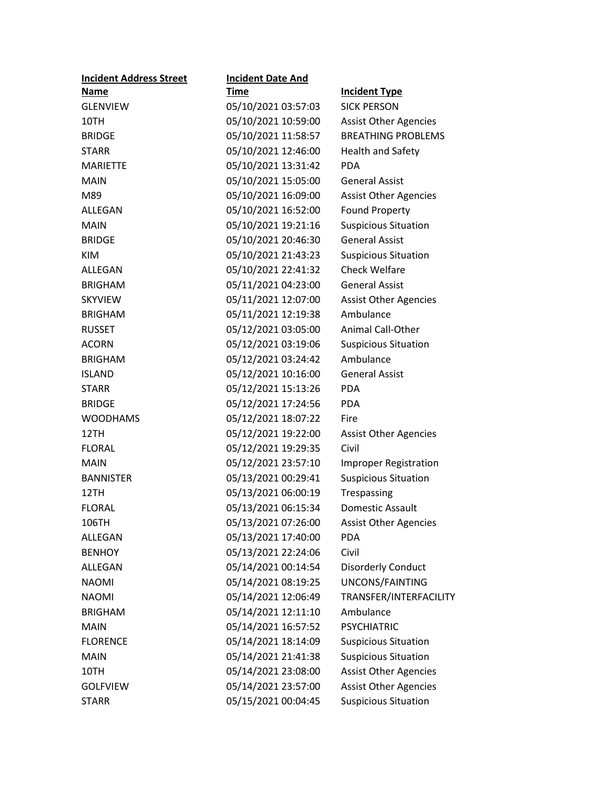| <b>Incident Address Street</b> | <b>Incident Date And</b> |                              |
|--------------------------------|--------------------------|------------------------------|
| Name                           | <b>Time</b>              | <b>Incident Type</b>         |
| <b>GLENVIEW</b>                | 05/10/2021 03:57:03      | <b>SICK PERSON</b>           |
| 10TH                           | 05/10/2021 10:59:00      | <b>Assist Other Agencies</b> |
| <b>BRIDGE</b>                  | 05/10/2021 11:58:57      | <b>BREATHING PROBLEMS</b>    |
| <b>STARR</b>                   | 05/10/2021 12:46:00      | Health and Safety            |
| <b>MARIETTE</b>                | 05/10/2021 13:31:42      | <b>PDA</b>                   |
| <b>MAIN</b>                    | 05/10/2021 15:05:00      | <b>General Assist</b>        |
| M89                            | 05/10/2021 16:09:00      | <b>Assist Other Agencies</b> |
| ALLEGAN                        | 05/10/2021 16:52:00      | <b>Found Property</b>        |
| <b>MAIN</b>                    | 05/10/2021 19:21:16      | <b>Suspicious Situation</b>  |
| <b>BRIDGE</b>                  | 05/10/2021 20:46:30      | <b>General Assist</b>        |
| <b>KIM</b>                     | 05/10/2021 21:43:23      | <b>Suspicious Situation</b>  |
| ALLEGAN                        | 05/10/2021 22:41:32      | <b>Check Welfare</b>         |
| <b>BRIGHAM</b>                 | 05/11/2021 04:23:00      | <b>General Assist</b>        |
| <b>SKYVIEW</b>                 | 05/11/2021 12:07:00      | <b>Assist Other Agencies</b> |
| <b>BRIGHAM</b>                 | 05/11/2021 12:19:38      | Ambulance                    |
| <b>RUSSET</b>                  | 05/12/2021 03:05:00      | <b>Animal Call-Other</b>     |
| <b>ACORN</b>                   | 05/12/2021 03:19:06      | <b>Suspicious Situation</b>  |
| <b>BRIGHAM</b>                 | 05/12/2021 03:24:42      | Ambulance                    |
| <b>ISLAND</b>                  | 05/12/2021 10:16:00      | <b>General Assist</b>        |
| <b>STARR</b>                   | 05/12/2021 15:13:26      | <b>PDA</b>                   |
| <b>BRIDGE</b>                  | 05/12/2021 17:24:56      | <b>PDA</b>                   |
| <b>WOODHAMS</b>                | 05/12/2021 18:07:22      | Fire                         |
| 12TH                           | 05/12/2021 19:22:00      | <b>Assist Other Agencies</b> |
| <b>FLORAL</b>                  | 05/12/2021 19:29:35      | Civil                        |
| <b>MAIN</b>                    | 05/12/2021 23:57:10      | <b>Improper Registration</b> |
| <b>BANNISTER</b>               | 05/13/2021 00:29:41      | <b>Suspicious Situation</b>  |
| 12TH                           | 05/13/2021 06:00:19      | Trespassing                  |
| <b>FLORAL</b>                  | 05/13/2021 06:15:34      | <b>Domestic Assault</b>      |
| 106TH                          | 05/13/2021 07:26:00      | <b>Assist Other Agencies</b> |
| <b>ALLEGAN</b>                 | 05/13/2021 17:40:00      | <b>PDA</b>                   |
| <b>BENHOY</b>                  | 05/13/2021 22:24:06      | Civil                        |
| <b>ALLEGAN</b>                 | 05/14/2021 00:14:54      | <b>Disorderly Conduct</b>    |
| <b>NAOMI</b>                   | 05/14/2021 08:19:25      | UNCONS/FAINTING              |
| <b>NAOMI</b>                   | 05/14/2021 12:06:49      | TRANSFER/INTERFACILITY       |
| <b>BRIGHAM</b>                 | 05/14/2021 12:11:10      | Ambulance                    |
| <b>MAIN</b>                    | 05/14/2021 16:57:52      | <b>PSYCHIATRIC</b>           |
| <b>FLORENCE</b>                | 05/14/2021 18:14:09      | <b>Suspicious Situation</b>  |
| <b>MAIN</b>                    | 05/14/2021 21:41:38      | <b>Suspicious Situation</b>  |
| 10TH                           | 05/14/2021 23:08:00      | <b>Assist Other Agencies</b> |
| <b>GOLFVIEW</b>                | 05/14/2021 23:57:00      | <b>Assist Other Agencies</b> |
| <b>STARR</b>                   | 05/15/2021 00:04:45      | <b>Suspicious Situation</b>  |
|                                |                          |                              |